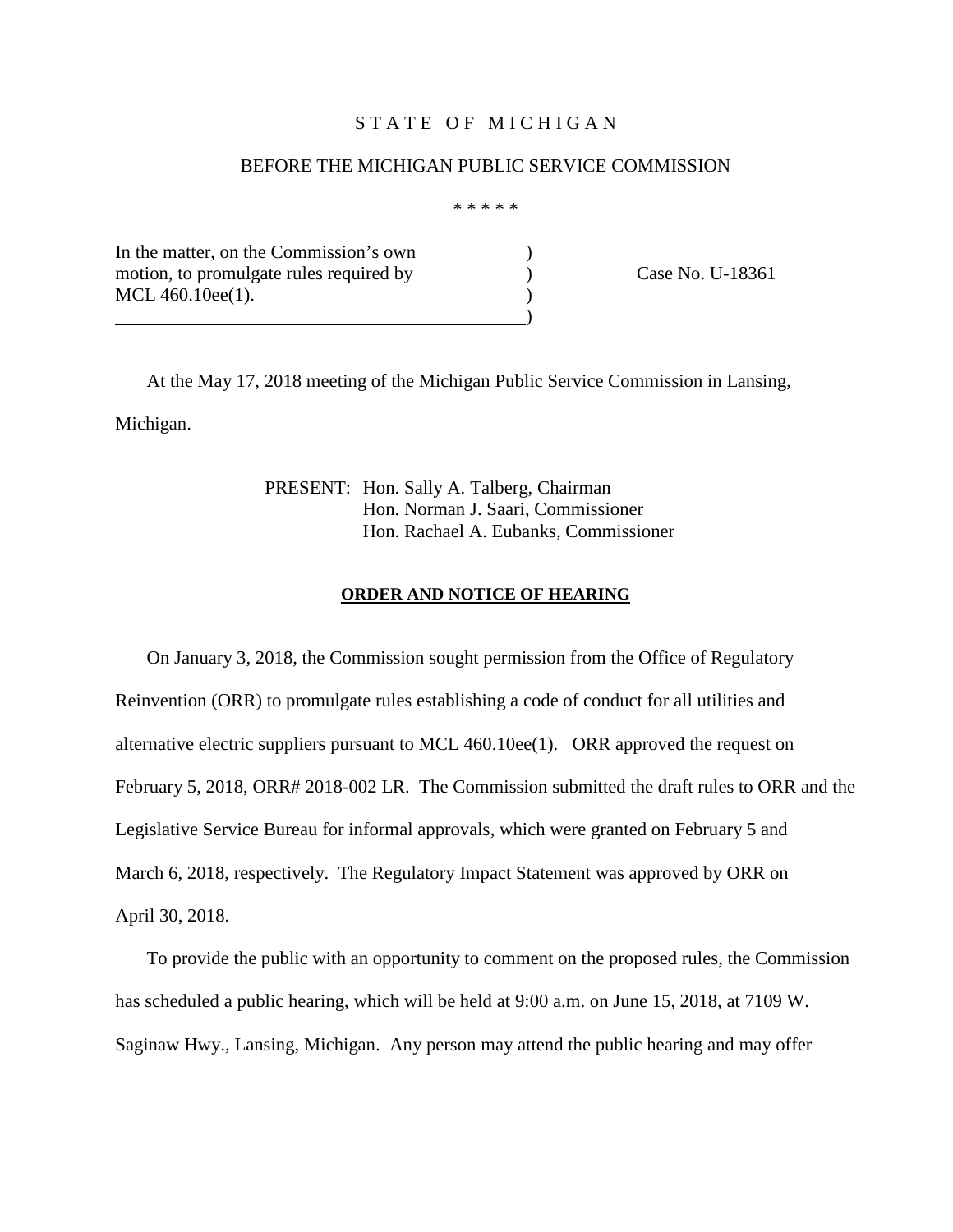## STATE OF MICHIGAN

#### BEFORE THE MICHIGAN PUBLIC SERVICE COMMISSION

\* \* \* \* \*

In the matter, on the Commission's own ) motion, to promulgate rules required by  $\qquad \qquad$  ) Case No. U-18361 MCL 460.10ee(1).

)

At the May 17, 2018 meeting of the Michigan Public Service Commission in Lansing, Michigan.

> PRESENT: Hon. Sally A. Talberg, Chairman Hon. Norman J. Saari, Commissioner Hon. Rachael A. Eubanks, Commissioner

#### **ORDER AND NOTICE OF HEARING**

On January 3, 2018, the Commission sought permission from the Office of Regulatory Reinvention (ORR) to promulgate rules establishing a code of conduct for all utilities and alternative electric suppliers pursuant to MCL 460.10ee(1). ORR approved the request on February 5, 2018, ORR# 2018-002 LR. The Commission submitted the draft rules to ORR and the Legislative Service Bureau for informal approvals, which were granted on February 5 and March 6, 2018, respectively. The Regulatory Impact Statement was approved by ORR on April 30, 2018.

To provide the public with an opportunity to comment on the proposed rules, the Commission has scheduled a public hearing, which will be held at 9:00 a.m. on June 15, 2018, at 7109 W. Saginaw Hwy., Lansing, Michigan. Any person may attend the public hearing and may offer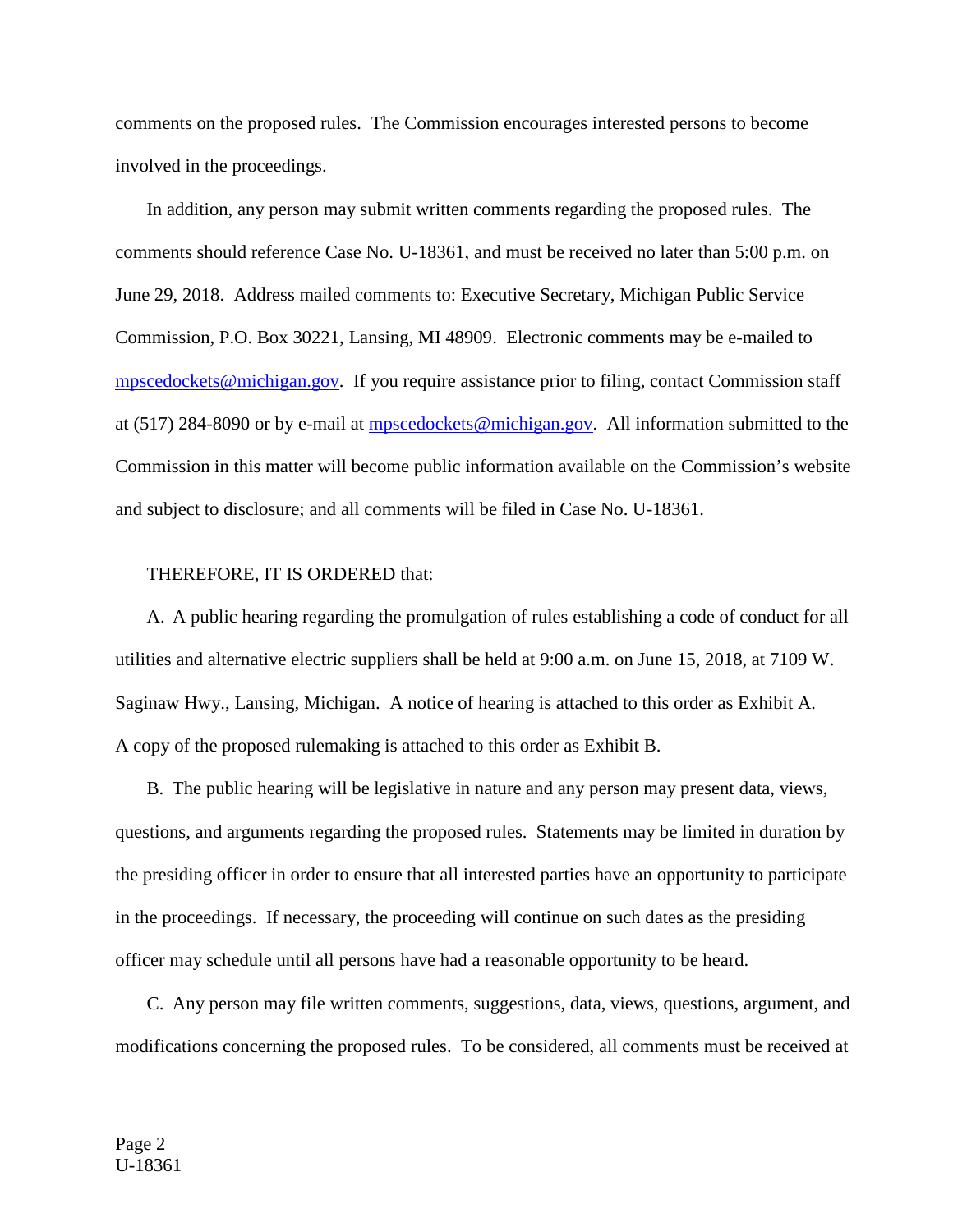comments on the proposed rules. The Commission encourages interested persons to become involved in the proceedings.

In addition, any person may submit written comments regarding the proposed rules. The comments should reference Case No. U-18361, and must be received no later than 5:00 p.m. on June 29, 2018. Address mailed comments to: Executive Secretary, Michigan Public Service Commission, P.O. Box 30221, Lansing, MI 48909. Electronic comments may be e-mailed to [mpscedockets@michigan.gov.](mailto:mpscedockets@michigan.gov) If you require assistance prior to filing, contact Commission staff at (517) 284-8090 or by e-mail at [mpscedockets@michigan.gov.](mailto:mpscedockets@michigan.gov) All information submitted to the Commission in this matter will become public information available on the Commission's website and subject to disclosure; and all comments will be filed in Case No. U-18361.

# THEREFORE, IT IS ORDERED that:

A. A public hearing regarding the promulgation of rules establishing a code of conduct for all utilities and alternative electric suppliers shall be held at 9:00 a.m. on June 15, 2018, at 7109 W. Saginaw Hwy., Lansing, Michigan. A notice of hearing is attached to this order as Exhibit A. A copy of the proposed rulemaking is attached to this order as Exhibit B.

B. The public hearing will be legislative in nature and any person may present data, views, questions, and arguments regarding the proposed rules. Statements may be limited in duration by the presiding officer in order to ensure that all interested parties have an opportunity to participate in the proceedings. If necessary, the proceeding will continue on such dates as the presiding officer may schedule until all persons have had a reasonable opportunity to be heard.

C. Any person may file written comments, suggestions, data, views, questions, argument, and modifications concerning the proposed rules. To be considered, all comments must be received at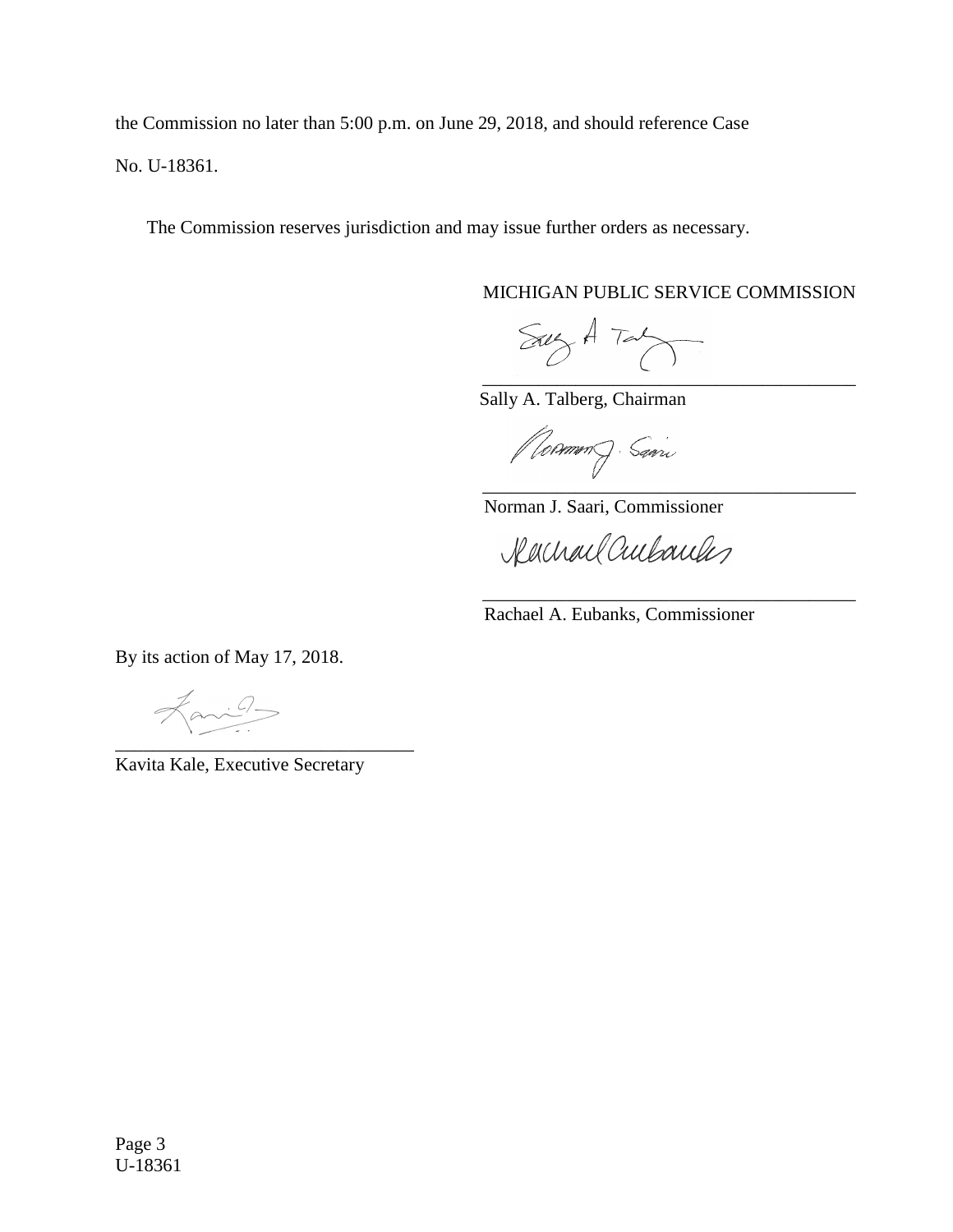the Commission no later than 5:00 p.m. on June 29, 2018, and should reference Case No. U-18361.

The Commission reserves jurisdiction and may issue further orders as necessary.

MICHIGAN PUBLIC SERVICE COMMISSION

 $SayA$  Tab \_\_\_\_\_\_\_\_\_\_\_\_\_\_\_\_\_\_\_\_\_\_\_\_\_\_\_\_\_\_\_\_\_\_\_\_\_\_\_\_

Sally A. Talberg, Chairman

*(Rommen)* Savin \_\_\_\_\_\_\_\_\_\_\_\_\_\_\_\_\_\_\_\_\_\_\_\_\_\_\_\_\_\_\_\_\_\_\_\_\_\_\_\_

Norman J. Saari, Commissioner

Rachael Cultureles

Rachael A. Eubanks, Commissioner

\_\_\_\_\_\_\_\_\_\_\_\_\_\_\_\_\_\_\_\_\_\_\_\_\_\_\_\_\_\_\_\_\_\_\_\_\_\_\_\_

By its action of May 17, 2018.

Fanil \_\_\_\_\_\_\_\_\_\_\_\_\_\_\_\_\_\_\_\_\_\_\_\_\_\_\_\_\_\_\_\_

Kavita Kale, Executive Secretary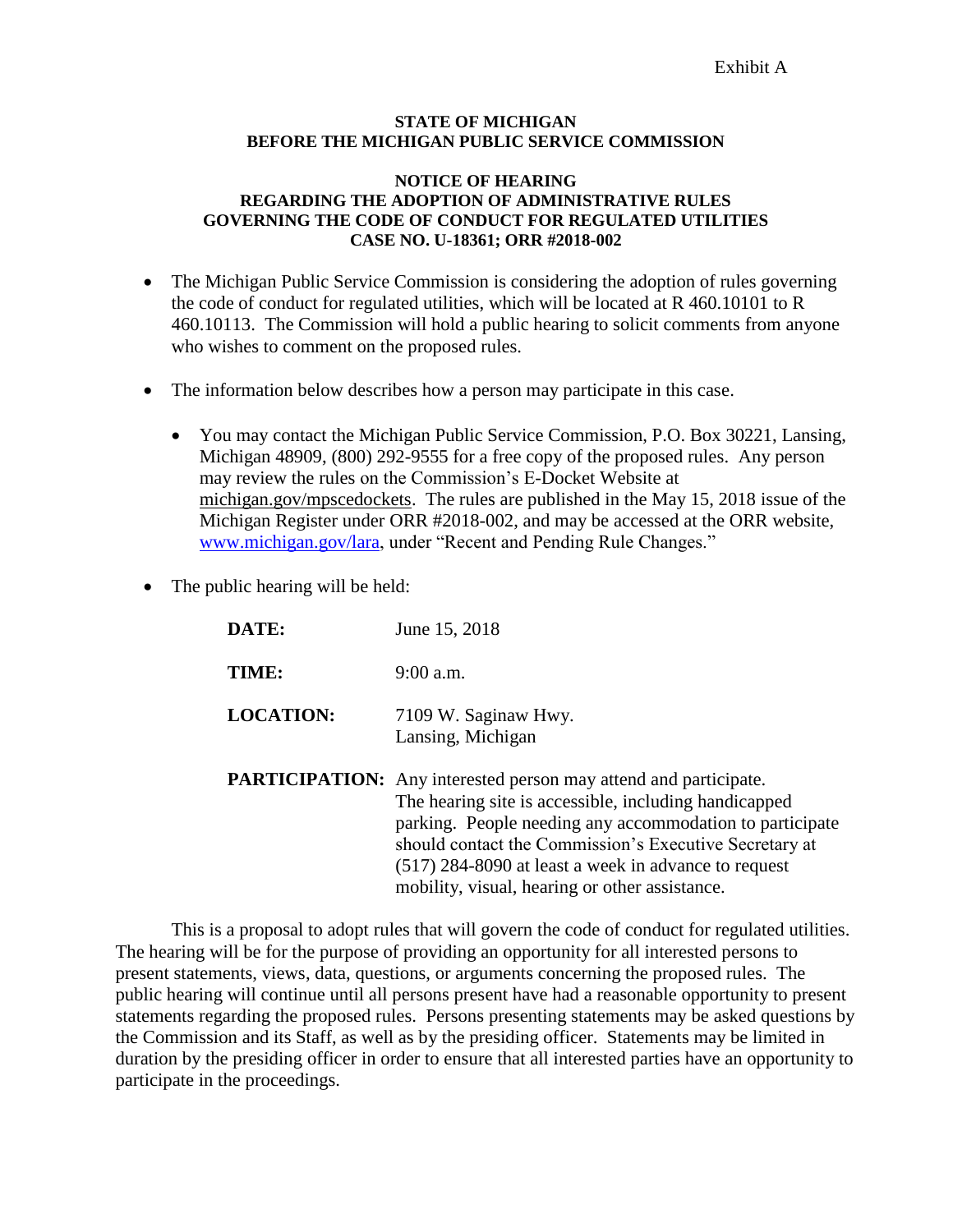#### **STATE OF MICHIGAN BEFORE THE MICHIGAN PUBLIC SERVICE COMMISSION**

#### **NOTICE OF HEARING REGARDING THE ADOPTION OF ADMINISTRATIVE RULES GOVERNING THE CODE OF CONDUCT FOR REGULATED UTILITIES CASE NO. U-18361; ORR #2018-002**

- The Michigan Public Service Commission is considering the adoption of rules governing the code of conduct for regulated utilities, which will be located at R 460.10101 to R 460.10113. The Commission will hold a public hearing to solicit comments from anyone who wishes to comment on the proposed rules.
- The information below describes how a person may participate in this case.
	- You may contact the Michigan Public Service Commission, P.O. Box 30221, Lansing, Michigan 48909, (800) 292-9555 for a free copy of the proposed rules. Any person may review the rules on the Commission's E-Docket Website at michigan.gov/mpscedockets. The rules are published in the May 15, 2018 issue of the Michigan Register under ORR #2018-002, and may be accessed at the ORR website, [www.michigan.gov/lara,](http://www.michigan.gov/lara) under "Recent and Pending Rule Changes."
- The public hearing will be held:

| DATE:            | June 15, 2018                                                                                                                                                                                                                                                                                                  |
|------------------|----------------------------------------------------------------------------------------------------------------------------------------------------------------------------------------------------------------------------------------------------------------------------------------------------------------|
| TIME:            | $9:00$ a.m.                                                                                                                                                                                                                                                                                                    |
| <b>LOCATION:</b> | 7109 W. Saginaw Hwy.<br>Lansing, Michigan                                                                                                                                                                                                                                                                      |
|                  | <b>PARTICIPATION:</b> Any interested person may attend and participate.<br>The hearing site is accessible, including handicapped<br>parking. People needing any accommodation to participate<br>should contact the Commission's Executive Secretary at<br>(517) 284-8090 at least a week in advance to request |

mobility, visual, hearing or other assistance.

This is a proposal to adopt rules that will govern the code of conduct for regulated utilities. The hearing will be for the purpose of providing an opportunity for all interested persons to present statements, views, data, questions, or arguments concerning the proposed rules. The public hearing will continue until all persons present have had a reasonable opportunity to present statements regarding the proposed rules. Persons presenting statements may be asked questions by the Commission and its Staff, as well as by the presiding officer. Statements may be limited in duration by the presiding officer in order to ensure that all interested parties have an opportunity to participate in the proceedings.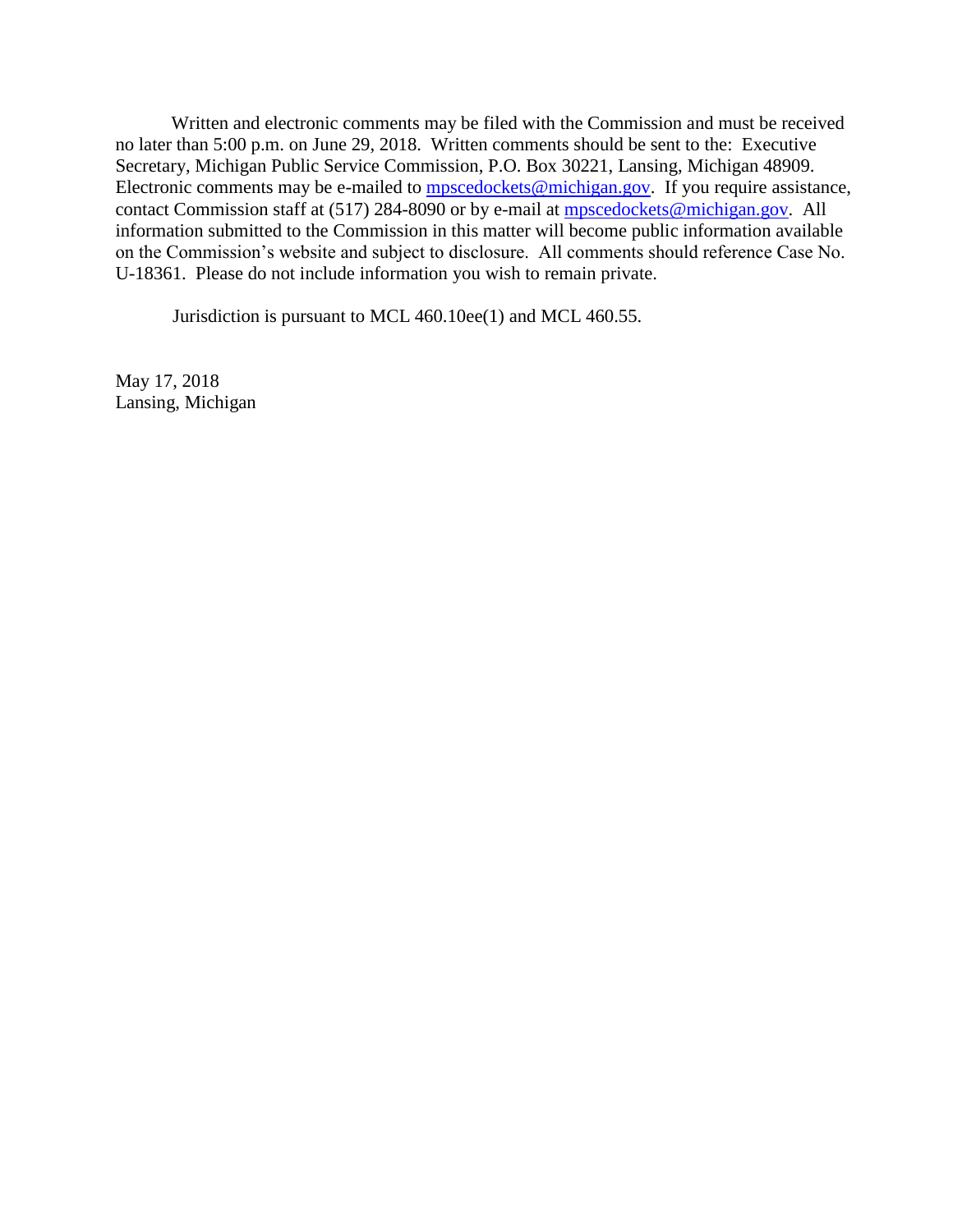Written and electronic comments may be filed with the Commission and must be received no later than 5:00 p.m. on June 29, 2018. Written comments should be sent to the: Executive Secretary, Michigan Public Service Commission, P.O. Box 30221, Lansing, Michigan 48909. Electronic comments may be e-mailed to [mpscedockets@michigan.gov.](mailto:mpscedockets@michigan.gov) If you require assistance, contact Commission staff at (517) 284-8090 or by e-mail at [mpscedockets@michigan.gov.](mailto:mpscedockets@michigan.gov) All information submitted to the Commission in this matter will become public information available on the Commission's website and subject to disclosure. All comments should reference Case No. U-18361. Please do not include information you wish to remain private.

Jurisdiction is pursuant to MCL 460.10ee(1) and MCL 460.55.

May 17, 2018 Lansing, Michigan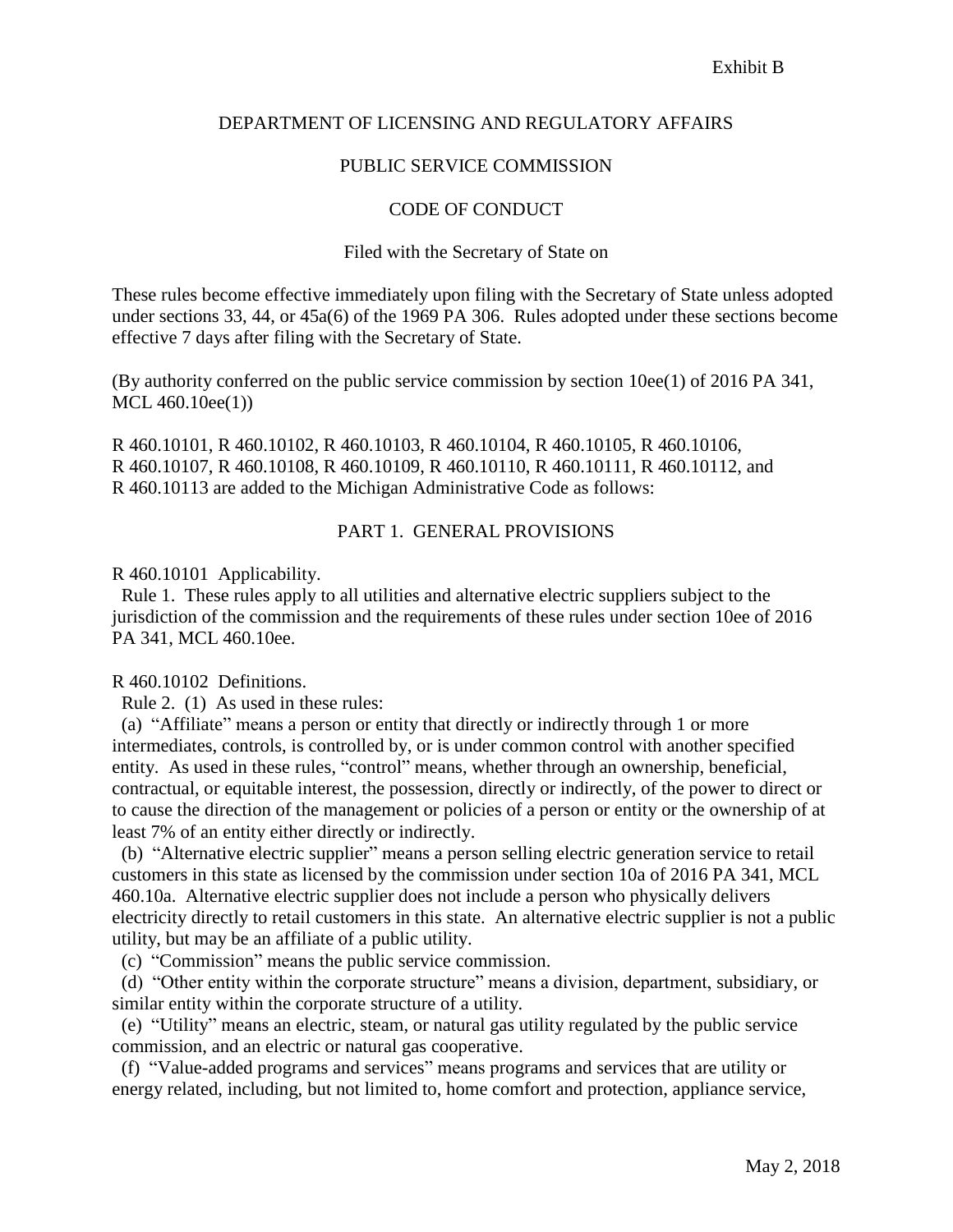# DEPARTMENT OF LICENSING AND REGULATORY AFFAIRS

## PUBLIC SERVICE COMMISSION

#### CODE OF CONDUCT

#### Filed with the Secretary of State on

These rules become effective immediately upon filing with the Secretary of State unless adopted under sections 33, 44, or 45a(6) of the 1969 PA 306. Rules adopted under these sections become effective 7 days after filing with the Secretary of State.

(By authority conferred on the public service commission by section 10ee(1) of 2016 PA 341, MCL 460.10ee(1))

R 460.10101, R 460.10102, R 460.10103, R 460.10104, R 460.10105, R 460.10106, R 460.10107, R 460.10108, R 460.10109, R 460.10110, R 460.10111, R 460.10112, and R 460.10113 are added to the Michigan Administrative Code as follows:

## PART 1. GENERAL PROVISIONS

R 460.10101 Applicability.

 Rule 1. These rules apply to all utilities and alternative electric suppliers subject to the jurisdiction of the commission and the requirements of these rules under section 10ee of 2016 PA 341, MCL 460.10ee.

#### R 460.10102 Definitions.

Rule 2. (1) As used in these rules:

 (a) "Affiliate" means a person or entity that directly or indirectly through 1 or more intermediates, controls, is controlled by, or is under common control with another specified entity. As used in these rules, "control" means, whether through an ownership, beneficial, contractual, or equitable interest, the possession, directly or indirectly, of the power to direct or to cause the direction of the management or policies of a person or entity or the ownership of at least 7% of an entity either directly or indirectly.

 (b) "Alternative electric supplier" means a person selling electric generation service to retail customers in this state as licensed by the commission under section 10a of 2016 PA 341, MCL 460.10a. Alternative electric supplier does not include a person who physically delivers electricity directly to retail customers in this state. An alternative electric supplier is not a public utility, but may be an affiliate of a public utility.

(c) "Commission" means the public service commission.

 (d) "Other entity within the corporate structure" means a division, department, subsidiary, or similar entity within the corporate structure of a utility.

 (e) "Utility" means an electric, steam, or natural gas utility regulated by the public service commission, and an electric or natural gas cooperative.

 (f) "Value-added programs and services" means programs and services that are utility or energy related, including, but not limited to, home comfort and protection, appliance service,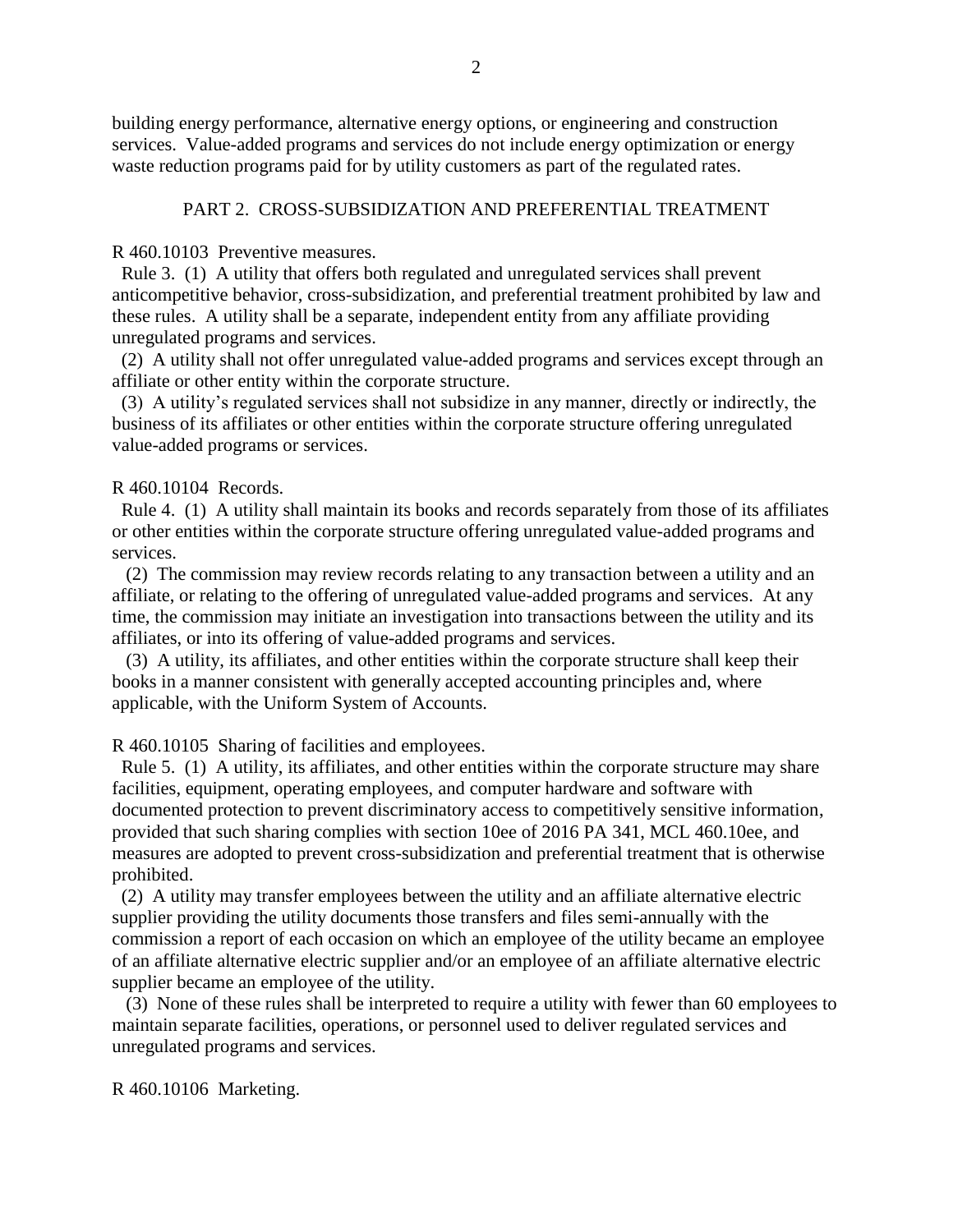building energy performance, alternative energy options, or engineering and construction services. Value-added programs and services do not include energy optimization or energy waste reduction programs paid for by utility customers as part of the regulated rates.

# PART 2. CROSS-SUBSIDIZATION AND PREFERENTIAL TREATMENT

R 460.10103 Preventive measures.

Rule 3. (1) A utility that offers both regulated and unregulated services shall prevent anticompetitive behavior, cross-subsidization, and preferential treatment prohibited by law and these rules. A utility shall be a separate, independent entity from any affiliate providing unregulated programs and services.

 (2) A utility shall not offer unregulated value-added programs and services except through an affiliate or other entity within the corporate structure.

 (3) A utility's regulated services shall not subsidize in any manner, directly or indirectly, the business of its affiliates or other entities within the corporate structure offering unregulated value-added programs or services.

#### R 460.10104 Records.

 Rule 4. (1) A utility shall maintain its books and records separately from those of its affiliates or other entities within the corporate structure offering unregulated value-added programs and services.

 (2) The commission may review records relating to any transaction between a utility and an affiliate, or relating to the offering of unregulated value-added programs and services. At any time, the commission may initiate an investigation into transactions between the utility and its affiliates, or into its offering of value-added programs and services.

 (3) A utility, its affiliates, and other entities within the corporate structure shall keep their books in a manner consistent with generally accepted accounting principles and, where applicable, with the Uniform System of Accounts.

R 460.10105 Sharing of facilities and employees.

 Rule 5. (1) A utility, its affiliates, and other entities within the corporate structure may share facilities, equipment, operating employees, and computer hardware and software with documented protection to prevent discriminatory access to competitively sensitive information, provided that such sharing complies with section 10ee of 2016 PA 341, MCL 460.10ee, and measures are adopted to prevent cross-subsidization and preferential treatment that is otherwise prohibited.

 (2) A utility may transfer employees between the utility and an affiliate alternative electric supplier providing the utility documents those transfers and files semi-annually with the commission a report of each occasion on which an employee of the utility became an employee of an affiliate alternative electric supplier and/or an employee of an affiliate alternative electric supplier became an employee of the utility.

 (3) None of these rules shall be interpreted to require a utility with fewer than 60 employees to maintain separate facilities, operations, or personnel used to deliver regulated services and unregulated programs and services.

R 460.10106 Marketing.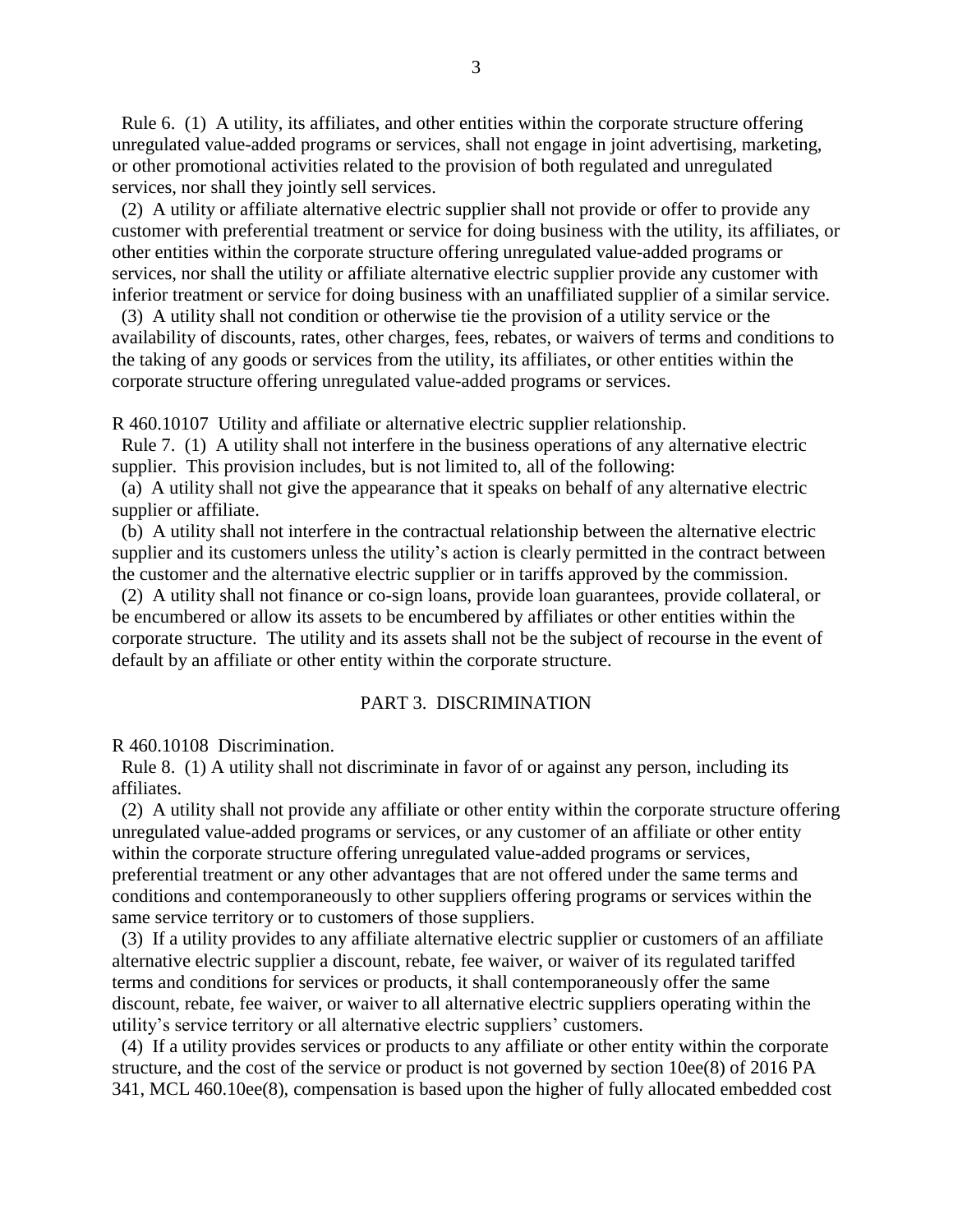Rule 6. (1) A utility, its affiliates, and other entities within the corporate structure offering unregulated value-added programs or services, shall not engage in joint advertising, marketing, or other promotional activities related to the provision of both regulated and unregulated services, nor shall they jointly sell services.

 (2) A utility or affiliate alternative electric supplier shall not provide or offer to provide any customer with preferential treatment or service for doing business with the utility, its affiliates, or other entities within the corporate structure offering unregulated value-added programs or services, nor shall the utility or affiliate alternative electric supplier provide any customer with inferior treatment or service for doing business with an unaffiliated supplier of a similar service.

 (3) A utility shall not condition or otherwise tie the provision of a utility service or the availability of discounts, rates, other charges, fees, rebates, or waivers of terms and conditions to the taking of any goods or services from the utility, its affiliates, or other entities within the corporate structure offering unregulated value-added programs or services.

R 460.10107 Utility and affiliate or alternative electric supplier relationship.

 Rule 7. (1) A utility shall not interfere in the business operations of any alternative electric supplier. This provision includes, but is not limited to, all of the following:

 (a) A utility shall not give the appearance that it speaks on behalf of any alternative electric supplier or affiliate.

 (b) A utility shall not interfere in the contractual relationship between the alternative electric supplier and its customers unless the utility's action is clearly permitted in the contract between the customer and the alternative electric supplier or in tariffs approved by the commission.

 (2) A utility shall not finance or co-sign loans, provide loan guarantees, provide collateral, or be encumbered or allow its assets to be encumbered by affiliates or other entities within the corporate structure. The utility and its assets shall not be the subject of recourse in the event of default by an affiliate or other entity within the corporate structure.

#### PART 3. DISCRIMINATION

R 460.10108 Discrimination.

 Rule 8. (1) A utility shall not discriminate in favor of or against any person, including its affiliates.

 (2) A utility shall not provide any affiliate or other entity within the corporate structure offering unregulated value-added programs or services, or any customer of an affiliate or other entity within the corporate structure offering unregulated value-added programs or services, preferential treatment or any other advantages that are not offered under the same terms and conditions and contemporaneously to other suppliers offering programs or services within the same service territory or to customers of those suppliers.

 (3) If a utility provides to any affiliate alternative electric supplier or customers of an affiliate alternative electric supplier a discount, rebate, fee waiver, or waiver of its regulated tariffed terms and conditions for services or products, it shall contemporaneously offer the same discount, rebate, fee waiver, or waiver to all alternative electric suppliers operating within the utility's service territory or all alternative electric suppliers' customers.

 (4) If a utility provides services or products to any affiliate or other entity within the corporate structure, and the cost of the service or product is not governed by section 10ee(8) of 2016 PA 341, MCL 460.10ee(8), compensation is based upon the higher of fully allocated embedded cost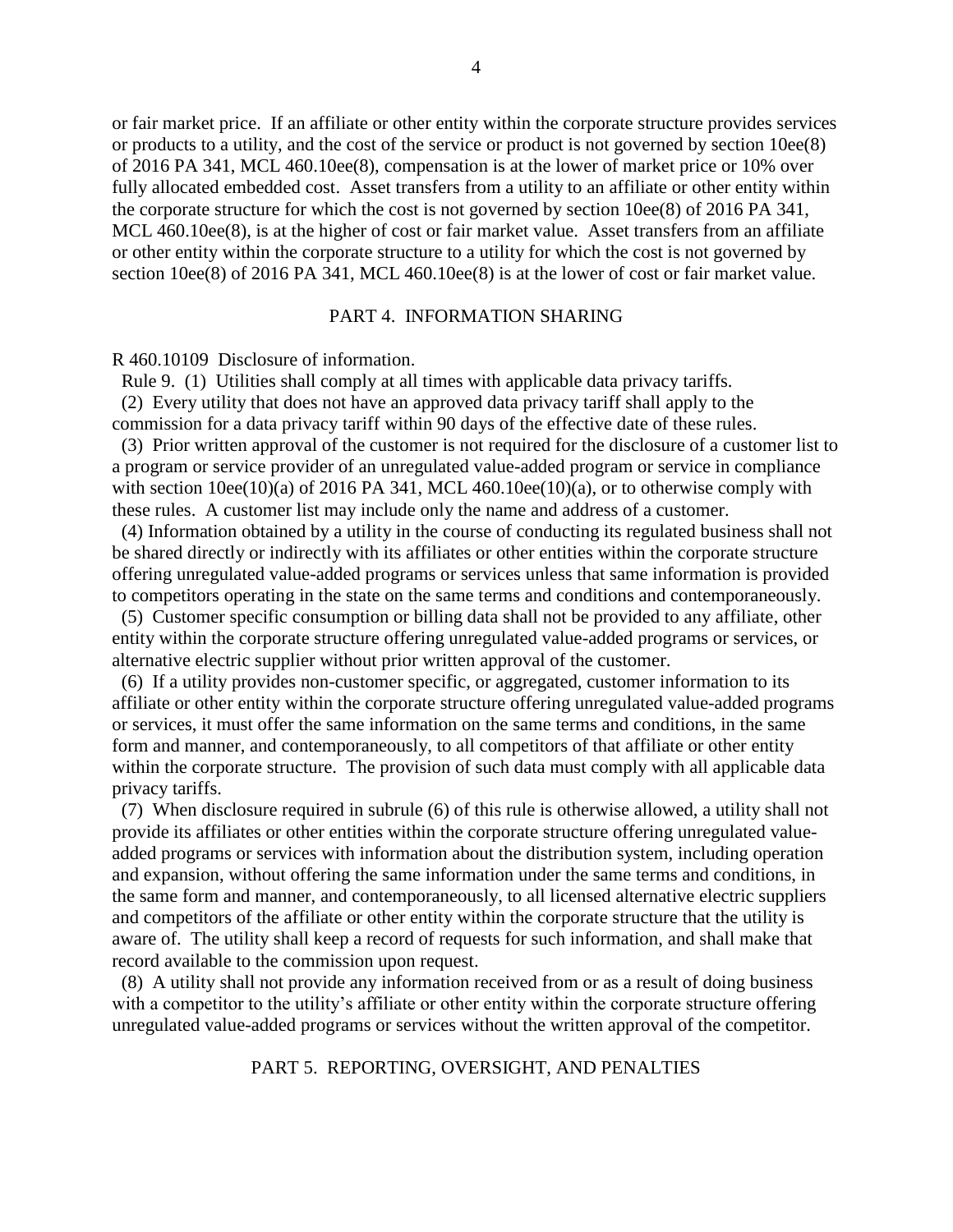or fair market price. If an affiliate or other entity within the corporate structure provides services or products to a utility, and the cost of the service or product is not governed by section 10ee(8) of 2016 PA 341, MCL 460.10ee(8), compensation is at the lower of market price or 10% over fully allocated embedded cost. Asset transfers from a utility to an affiliate or other entity within the corporate structure for which the cost is not governed by section 10ee(8) of 2016 PA 341, MCL 460.10ee(8), is at the higher of cost or fair market value. Asset transfers from an affiliate or other entity within the corporate structure to a utility for which the cost is not governed by section 10ee(8) of 2016 PA 341, MCL 460.10ee(8) is at the lower of cost or fair market value.

#### PART 4. INFORMATION SHARING

R 460.10109 Disclosure of information.

Rule 9. (1) Utilities shall comply at all times with applicable data privacy tariffs.

 (2) Every utility that does not have an approved data privacy tariff shall apply to the commission for a data privacy tariff within 90 days of the effective date of these rules.

(3) Prior written approval of the customer is not required for the disclosure of a customer list to a program or service provider of an unregulated value-added program or service in compliance with section  $10ee(10)(a)$  of 2016 PA 341, MCL 460.10ee(10)(a), or to otherwise comply with these rules. A customer list may include only the name and address of a customer.

 (4) Information obtained by a utility in the course of conducting its regulated business shall not be shared directly or indirectly with its affiliates or other entities within the corporate structure offering unregulated value-added programs or services unless that same information is provided to competitors operating in the state on the same terms and conditions and contemporaneously.

 (5) Customer specific consumption or billing data shall not be provided to any affiliate, other entity within the corporate structure offering unregulated value-added programs or services, or alternative electric supplier without prior written approval of the customer.

 (6) If a utility provides non-customer specific, or aggregated, customer information to its affiliate or other entity within the corporate structure offering unregulated value-added programs or services, it must offer the same information on the same terms and conditions, in the same form and manner, and contemporaneously, to all competitors of that affiliate or other entity within the corporate structure. The provision of such data must comply with all applicable data privacy tariffs.

 (7) When disclosure required in subrule (6) of this rule is otherwise allowed, a utility shall not provide its affiliates or other entities within the corporate structure offering unregulated valueadded programs or services with information about the distribution system, including operation and expansion, without offering the same information under the same terms and conditions, in the same form and manner, and contemporaneously, to all licensed alternative electric suppliers and competitors of the affiliate or other entity within the corporate structure that the utility is aware of. The utility shall keep a record of requests for such information, and shall make that record available to the commission upon request.

 (8) A utility shall not provide any information received from or as a result of doing business with a competitor to the utility's affiliate or other entity within the corporate structure offering unregulated value-added programs or services without the written approval of the competitor.

PART 5. REPORTING, OVERSIGHT, AND PENALTIES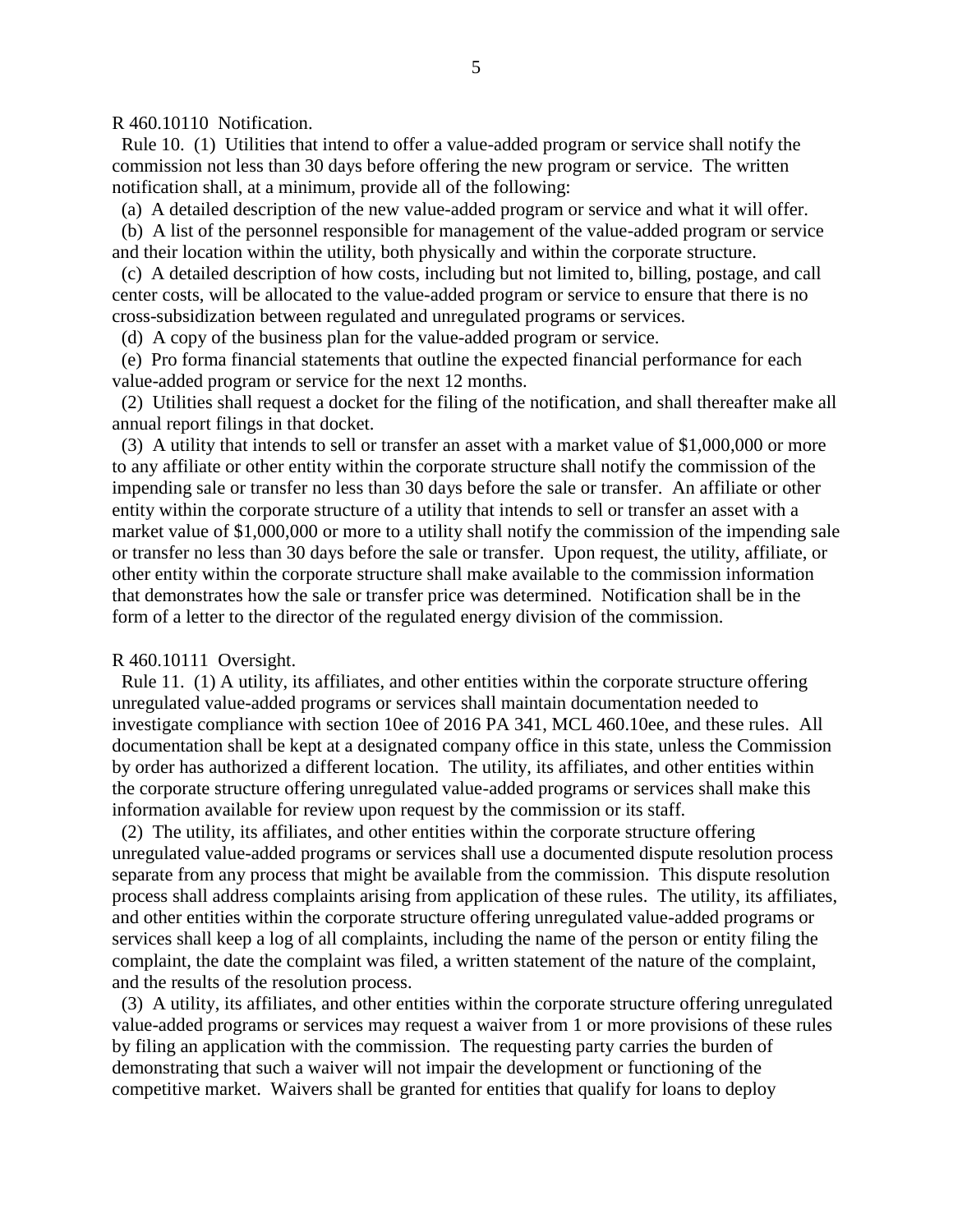R 460.10110 Notification.

 Rule 10. (1) Utilities that intend to offer a value-added program or service shall notify the commission not less than 30 days before offering the new program or service. The written notification shall, at a minimum, provide all of the following:

(a) A detailed description of the new value-added program or service and what it will offer.

 (b) A list of the personnel responsible for management of the value-added program or service and their location within the utility, both physically and within the corporate structure.

 (c) A detailed description of how costs, including but not limited to, billing, postage, and call center costs, will be allocated to the value-added program or service to ensure that there is no cross-subsidization between regulated and unregulated programs or services.

(d)A copy of the business plan for the value-added program or service.

(e) Pro forma financial statements that outline the expected financial performance for each value-added program or service for the next 12 months.

 (2) Utilities shall request a docket for the filing of the notification, and shall thereafter make all annual report filings in that docket.

 (3) A utility that intends to sell or transfer an asset with a market value of \$1,000,000 or more to any affiliate or other entity within the corporate structure shall notify the commission of the impending sale or transfer no less than 30 days before the sale or transfer. An affiliate or other entity within the corporate structure of a utility that intends to sell or transfer an asset with a market value of \$1,000,000 or more to a utility shall notify the commission of the impending sale or transfer no less than 30 days before the sale or transfer. Upon request, the utility, affiliate, or other entity within the corporate structure shall make available to the commission information that demonstrates how the sale or transfer price was determined. Notification shall be in the form of a letter to the director of the regulated energy division of the commission.

R 460.10111 Oversight.

 Rule 11. (1) A utility, its affiliates, and other entities within the corporate structure offering unregulated value-added programs or services shall maintain documentation needed to investigate compliance with section 10ee of 2016 PA 341, MCL 460.10ee, and these rules. All documentation shall be kept at a designated company office in this state, unless the Commission by order has authorized a different location. The utility, its affiliates, and other entities within the corporate structure offering unregulated value-added programs or services shall make this information available for review upon request by the commission or its staff.

 (2) The utility, its affiliates, and other entities within the corporate structure offering unregulated value-added programs or services shall use a documented dispute resolution process separate from any process that might be available from the commission. This dispute resolution process shall address complaints arising from application of these rules. The utility, its affiliates, and other entities within the corporate structure offering unregulated value-added programs or services shall keep a log of all complaints, including the name of the person or entity filing the complaint, the date the complaint was filed, a written statement of the nature of the complaint, and the results of the resolution process.

 (3) A utility, its affiliates, and other entities within the corporate structure offering unregulated value-added programs or services may request a waiver from 1 or more provisions of these rules by filing an application with the commission. The requesting party carries the burden of demonstrating that such a waiver will not impair the development or functioning of the competitive market. Waivers shall be granted for entities that qualify for loans to deploy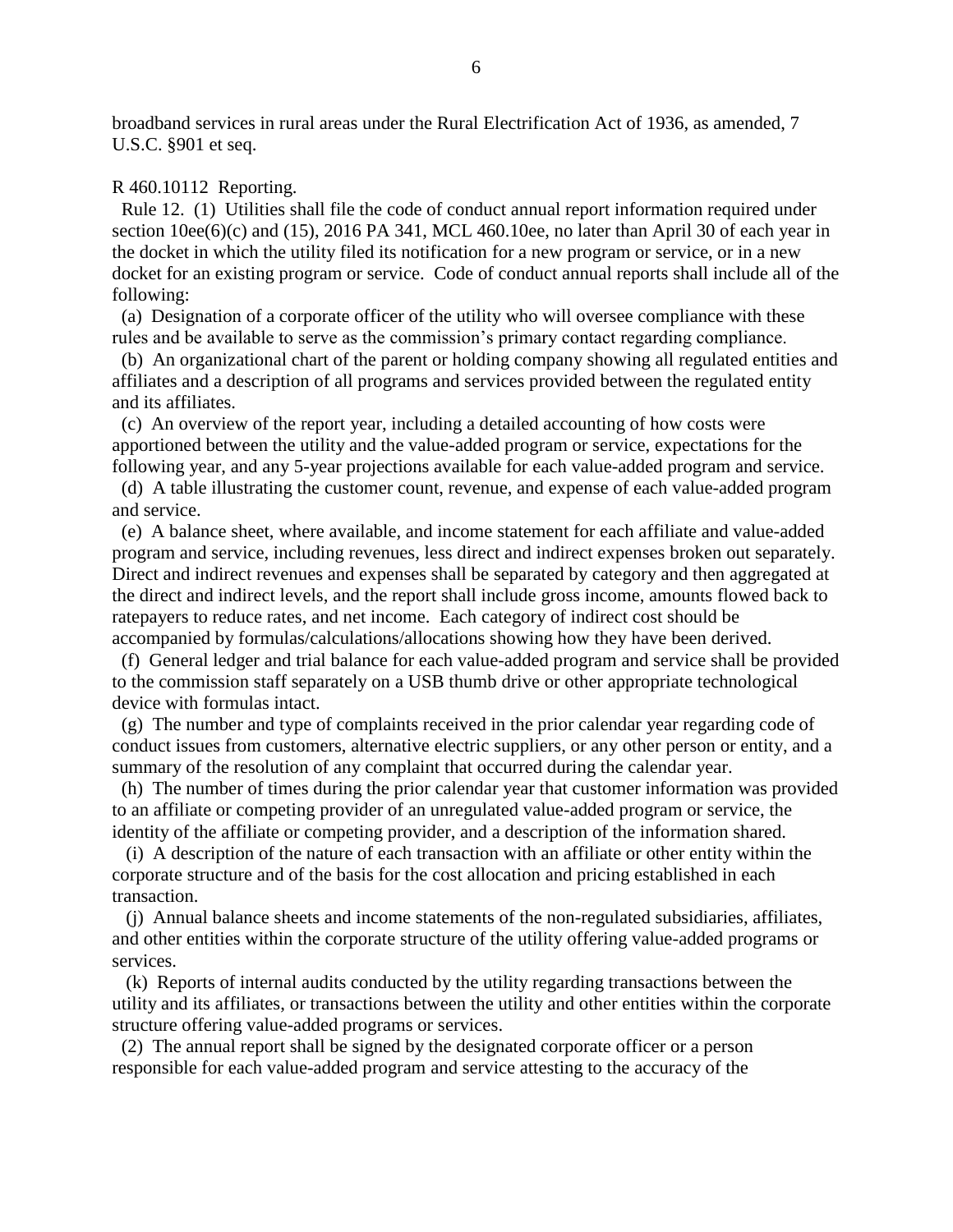broadband services in rural areas under the Rural Electrification Act of 1936, as amended, 7 U.S.C. §901 et seq.

#### R 460.10112 Reporting.

 Rule 12. (1) Utilities shall file the code of conduct annual report information required under section  $10ee(6)(c)$  and  $(15)$ , 2016 PA 341, MCL 460.10ee, no later than April 30 of each year in the docket in which the utility filed its notification for a new program or service, or in a new docket for an existing program or service. Code of conduct annual reports shall include all of the following:

 (a) Designation of a corporate officer of the utility who will oversee compliance with these rules and be available to serve as the commission's primary contact regarding compliance.

 (b) An organizational chart of the parent or holding company showing all regulated entities and affiliates and a description of all programs and services provided between the regulated entity and its affiliates.

 (c) An overview of the report year, including a detailed accounting of how costs were apportioned between the utility and the value-added program or service, expectations for the following year, and any 5-year projections available for each value-added program and service.

 (d) A table illustrating the customer count, revenue, and expense of each value-added program and service.

 (e) A balance sheet, where available, and income statement for each affiliate and value-added program and service, including revenues, less direct and indirect expenses broken out separately. Direct and indirect revenues and expenses shall be separated by category and then aggregated at the direct and indirect levels, and the report shall include gross income, amounts flowed back to ratepayers to reduce rates, and net income. Each category of indirect cost should be accompanied by formulas/calculations/allocations showing how they have been derived.

 (f) General ledger and trial balance for each value-added program and service shall be provided to the commission staff separately on a USB thumb drive or other appropriate technological device with formulas intact.

 (g) The number and type of complaints received in the prior calendar year regarding code of conduct issues from customers, alternative electric suppliers, or any other person or entity, and a summary of the resolution of any complaint that occurred during the calendar year.

 (h) The number of times during the prior calendar year that customer information was provided to an affiliate or competing provider of an unregulated value-added program or service, the identity of the affiliate or competing provider, and a description of the information shared.

 (i) A description of the nature of each transaction with an affiliate or other entity within the corporate structure and of the basis for the cost allocation and pricing established in each transaction.

 (j) Annual balance sheets and income statements of the non-regulated subsidiaries, affiliates, and other entities within the corporate structure of the utility offering value-added programs or services.

 (k) Reports of internal audits conducted by the utility regarding transactions between the utility and its affiliates, or transactions between the utility and other entities within the corporate structure offering value-added programs or services.

 (2) The annual report shall be signed by the designated corporate officer or a person responsible for each value-added program and service attesting to the accuracy of the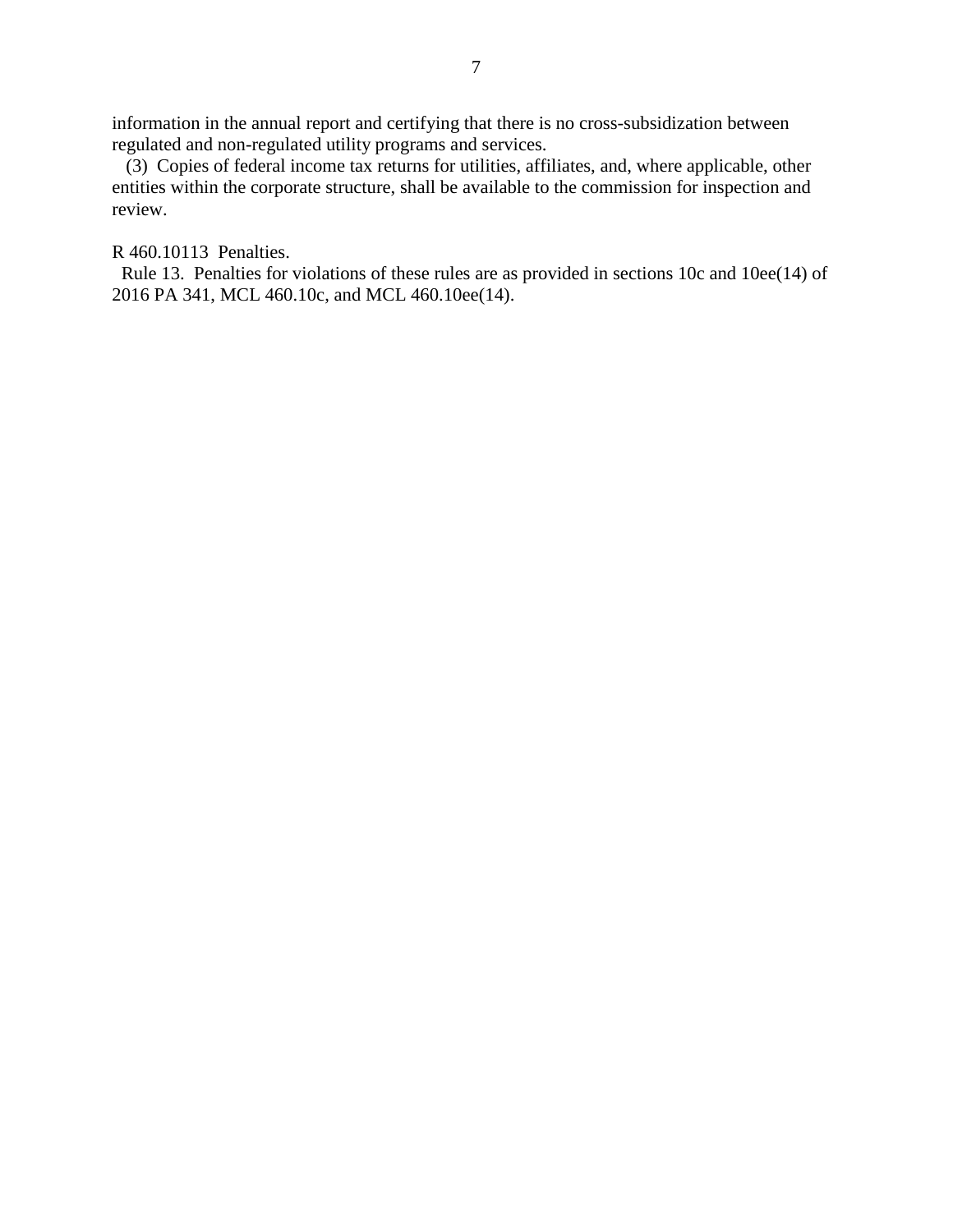information in the annual report and certifying that there is no cross-subsidization between regulated and non-regulated utility programs and services.

 (3) Copies of federal income tax returns for utilities, affiliates, and, where applicable, other entities within the corporate structure, shall be available to the commission for inspection and review.

R 460.10113 Penalties.

 Rule 13. Penalties for violations of these rules are as provided in sections 10c and 10ee(14) of 2016 PA 341, MCL 460.10c, and MCL 460.10ee(14).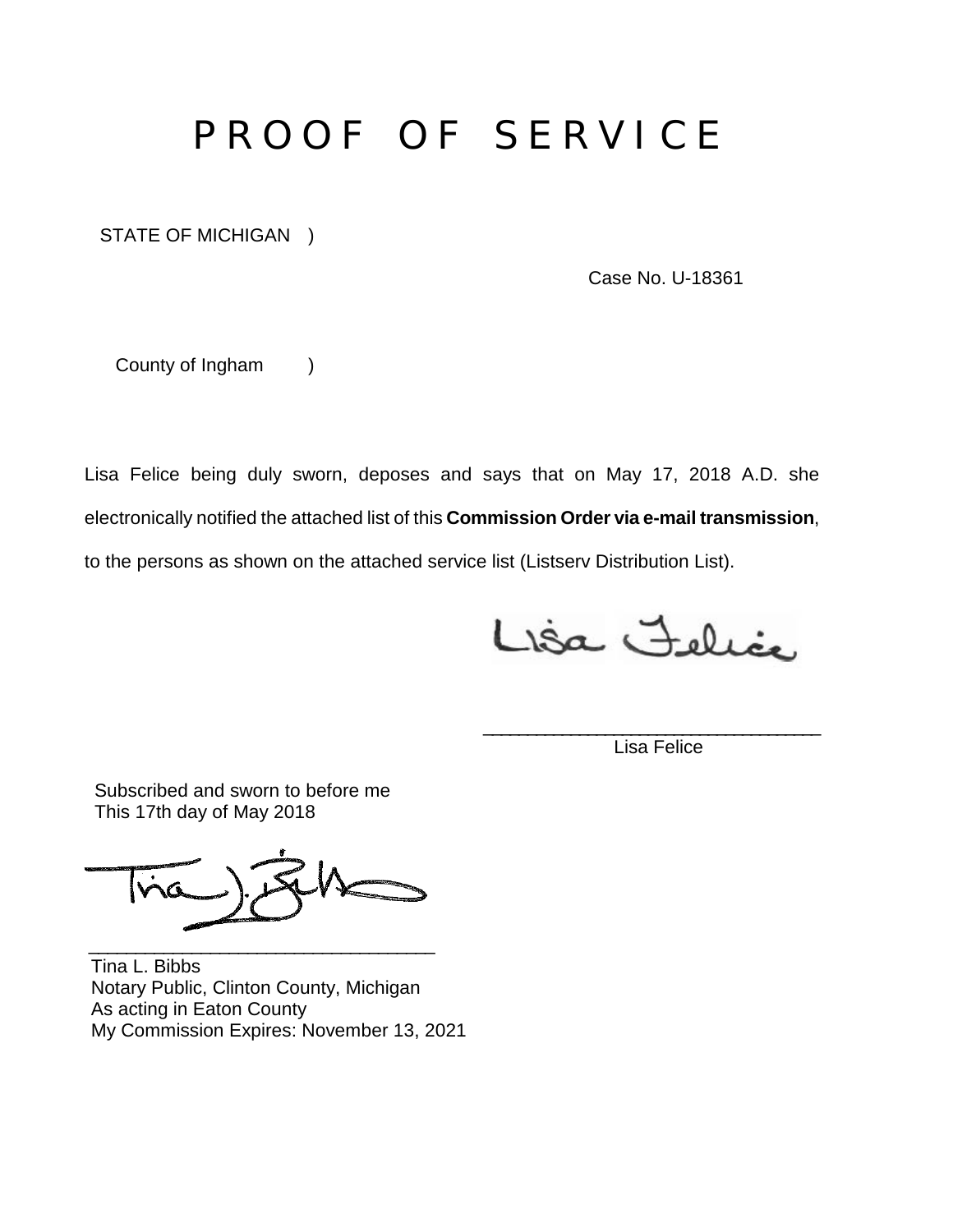# P R O O F O F S E R V I C E

STATE OF MICHIGAN )

Case No. U-18361

County of Ingham )

Lisa Felice being duly sworn, deposes and says that on May 17, 2018 A.D. she electronically notified the attached list of this **Commission Order via e-mail transmission**, to the persons as shown on the attached service list (Listserv Distribution List).

Lisa Felice

Lisa Felice

\_\_\_\_\_\_\_\_\_\_\_\_\_\_\_\_\_\_\_\_\_\_\_\_\_\_\_\_\_\_\_\_\_\_\_\_\_\_\_

 Subscribed and sworn to before me This 17th day of May 2018

\_\_\_\_\_\_\_\_\_\_\_\_\_\_\_\_\_\_\_\_\_\_\_\_\_\_\_\_\_\_\_\_\_\_\_\_\_

Tina L. Bibbs Notary Public, Clinton County, Michigan As acting in Eaton County My Commission Expires: November 13, 2021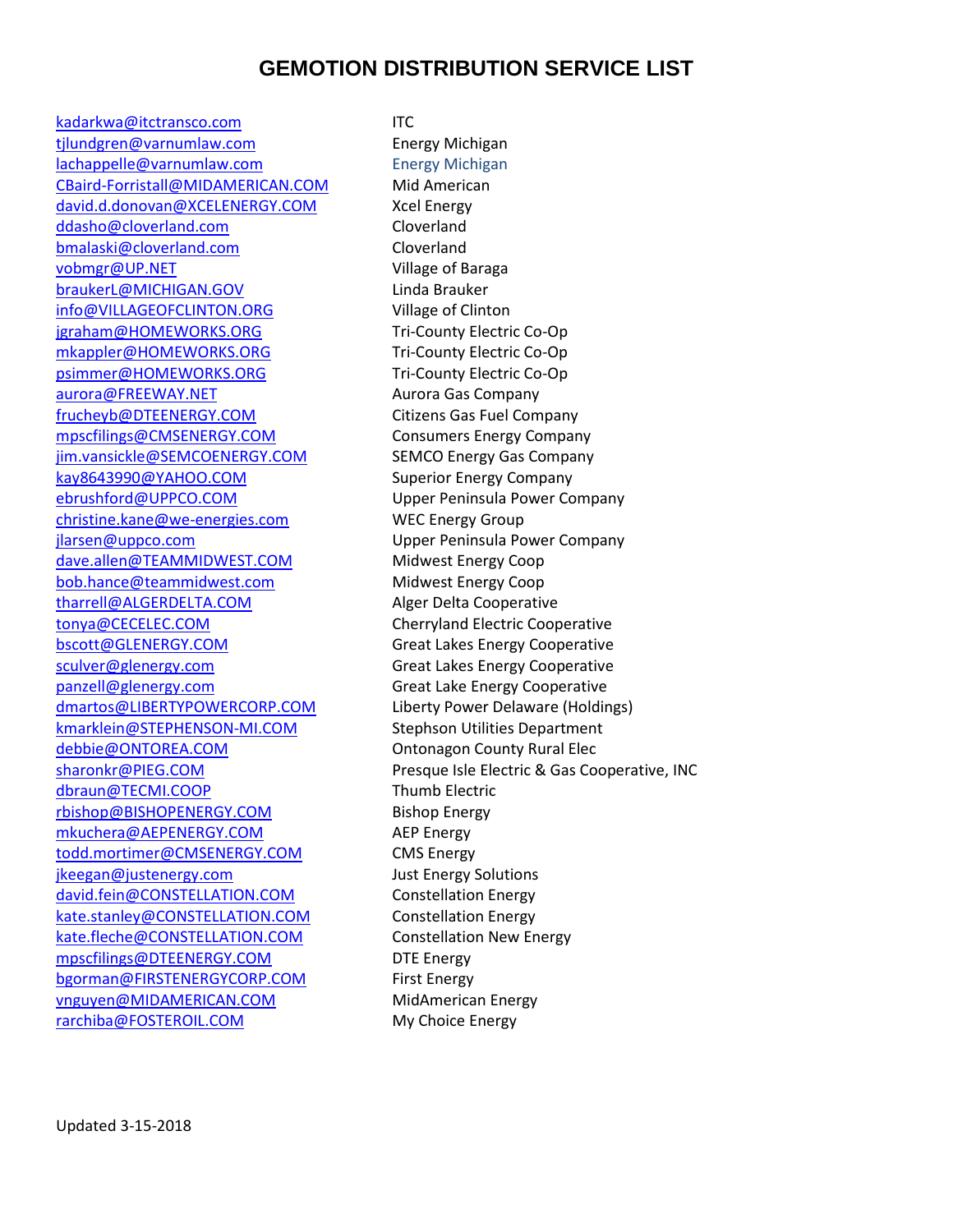# **GEMOTION DISTRIBUTION SERVICE LIST**

[kadarkwa@itctransco.com](mailto:kadarkwa@itctransco.com) ITC tilundgren@varnumlaw.com Energy Michigan [lachappelle@varnumlaw.com](mailto:lachappelle@varnumlaw.com) Energy Michigan [CBaird-Forristall@MIDAMERICAN.COM](mailto:CBaird-Forristall@MIDAMERICAN.COM) Mid American [david.d.donovan@XCELENERGY.COM](mailto:david.d.donovan@XCELENERGY.COM) Xcel Energy [ddasho@cloverland.com](mailto:ddasho@cloverland.com) Cloverland [bmalaski@cloverland.com](mailto:bmalaski@cloverland.com) Cloverland [vobmgr@UP.NET](mailto:vobmgr@UP.NET) Village of Baraga [braukerL@MICHIGAN.GOV](mailto:braukerL@MICHIGAN.GOV) Linda Brauker [info@VILLAGEOFCLINTON.ORG](mailto:info@VILLAGEOFCLINTON.ORG) Village of Clinton [jgraham@HOMEWORKS.ORG](mailto:jgraham@HOMEWORKS.ORG) Tri-County Electric Co-Op [mkappler@HOMEWORKS.ORG](mailto:mkappler@HOMEWORKS.ORG) Tri-County Electric Co-Op [psimmer@HOMEWORKS.ORG](mailto:psimmer@HOMEWORKS.ORG) Tri-County Electric Co-Op [aurora@FREEWAY.NET](mailto:aurora@FREEWAY.NET) Aurora Gas Company [frucheyb@DTEENERGY.COM](mailto:frucheyb@DTEENERGY.COM) Citizens Gas Fuel Company [mpscfilings@CMSENERGY.COM](mailto:mpscfilings@CMSENERGY.COM) Consumers Energy Company [jim.vansickle@SEMCOENERGY.COM](mailto:jim.vansickle@SEMCOENERGY.COM) SEMCO Energy Gas Company [kay8643990@YAHOO.COM](mailto:kay8643990@YAHOO.COM) Superior Energy Company [ebrushford@UPPCO.COM](mailto:ebrushford@UPPCO.COM) Upper Peninsula Power Company [christine.kane@we-energies.com](mailto:christine.kane@we-energies.com) WEC Energy Group [jlarsen@uppco.com](mailto:jlarsen@uppco.com) Upper Peninsula Power Company [dave.allen@TEAMMIDWEST.COM](mailto:dave.allen@TEAMMIDWEST.COM) Midwest Energy Coop [bob.hance@teammidwest.com](mailto:bob.hance@teammidwest.com) Midwest Energy Coop [tharrell@ALGERDELTA.COM](mailto:tharrell@ALGERDELTA.COM) Alger Delta Cooperative [tonya@CECELEC.COM](mailto:tonya@CECELEC.COM) Cherryland Electric Cooperative [bscott@GLENERGY.COM](mailto:bscott@GLENERGY.COM) Great Lakes Energy Cooperative [sculver@glenergy.com](mailto:sculver@glenergy.com) Great Lakes Energy Cooperative [panzell@glenergy.com](mailto:panzell@glenergy.com) Great Lake Energy Cooperative [dmartos@LIBERTYPOWERCORP.COM](mailto:dmartos@LIBERTYPOWERCORP.COM) Liberty Power Delaware (Holdings) [kmarklein@STEPHENSON-MI.COM](mailto:kmarklein@STEPHENSON-MI.COM) Stephson Utilities Department [debbie@ONTOREA.COM](mailto:debbie@ONTOREA.COM) **Ontonagon County Rural Elec** [dbraun@TECMI.COOP](mailto:dbraun@TECMI.COOP) Thumb Electric [rbishop@BISHOPENERGY.COM](mailto:rbishop@BISHOPENERGY.COM) Bishop Energy [mkuchera@AEPENERGY.COM](mailto:mkuchera@AEPENERGY.COM) AEP Energy [todd.mortimer@CMSENERGY.COM](mailto:todd.mortimer@CMSENERGY.COM) CMS Energy [jkeegan@justenergy.com](mailto:jkeegan@justenergy.com) Just Energy Solutions [david.fein@CONSTELLATION.COM](mailto:david.fein@CONSTELLATION.COM) Constellation Energy [kate.stanley@CONSTELLATION.COM](mailto:kate.stanley@CONSTELLATION.COM) Constellation Energy [kate.fleche@CONSTELLATION.COM](mailto:kate.fleche@CONSTELLATION.COM) Constellation New Energy [mpscfilings@DTEENERGY.COM](mailto:mpscfilings@DTEENERGY.COM) DTE Energy [bgorman@FIRSTENERGYCORP.COM](mailto:bgorman@FIRSTENERGYCORP.COM) First Energy [vnguyen@MIDAMERICAN.COM](mailto:vnguyen@MIDAMERICAN.COM) MidAmerican Energy [rarchiba@FOSTEROIL.COM](mailto:rarchiba@FOSTEROIL.COM) My Choice Energy

[sharonkr@PIEG.COM](mailto:sharonkr@PIEG.COM) Presque Isle Electric & Gas Cooperative, INC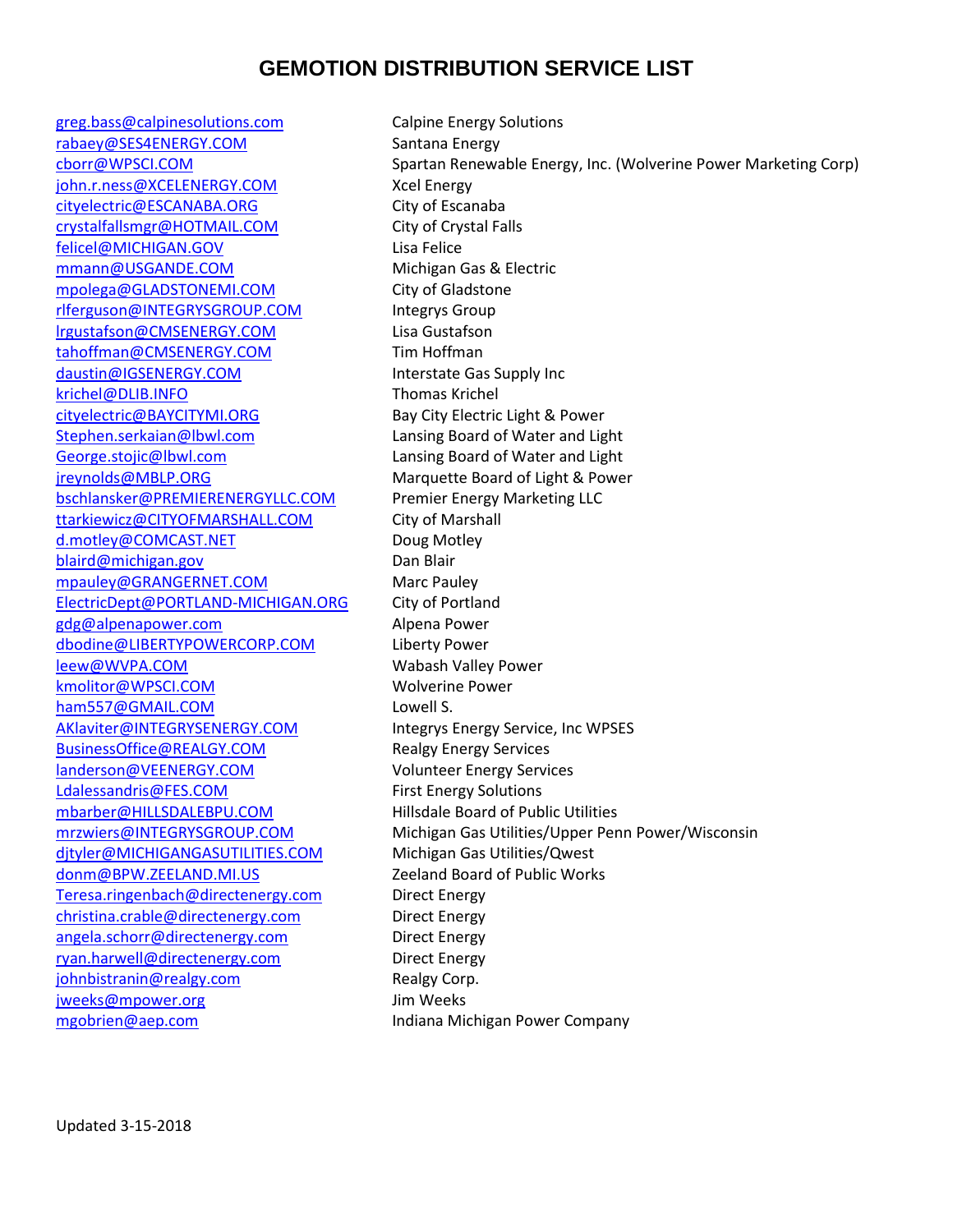# **GEMOTION DISTRIBUTION SERVICE LIST**

[greg.bass@calpinesolutions.com](mailto:greg.bass@calpinesolutions.com) Calpine Energy Solutions [rabaey@SES4ENERGY.COM](mailto:rabaey@SES4ENERGY.COM) Santana Energy [john.r.ness@XCELENERGY.COM](mailto:john.r.ness@XCELENERGY.COM) Xcel Energy [cityelectric@ESCANABA.ORG](mailto:cityelectric@ESCANABA.ORG) City of Escanaba [crystalfallsmgr@HOTMAIL.COM](mailto:crystalfallsmgr@HOTMAIL.COM) City of Crystal Falls [felicel@MICHIGAN.GOV](mailto:felicel@MICHIGAN.GOV) Lisa Felice [mmann@USGANDE.COM](mailto:mmann@USGANDE.COM) Michigan Gas & Electric [mpolega@GLADSTONEMI.COM](mailto:mpolega@GLADSTONEMI.COM) City of Gladstone [rlferguson@INTEGRYSGROUP.COM](mailto:rlferguson@INTEGRYSGROUP.COM) Integrys Group [lrgustafson@CMSENERGY.COM](mailto:lrgustafson@CMSENERGY.COM) Lisa Gustafson [tahoffman@CMSENERGY.COM](mailto:tahoffman@CMSENERGY.COM) Tim Hoffman [daustin@IGSENERGY.COM](mailto:daustin@IGSENERGY.COM) Interstate Gas Supply Inc [krichel@DLIB.INFO](mailto:krichel@DLIB.INFO) Thomas Krichel [cityelectric@BAYCITYMI.ORG](mailto:cityelectric@BAYCITYMI.ORG) Bay City Electric Light & Power [Stephen.serkaian@lbwl.com](mailto:Stephen.serkaian@lbwl.com) Lansing Board of Water and Light [George.stojic@lbwl.com](mailto:George.stojic@lbwl.com) Lansing Board of Water and Light [jreynolds@MBLP.ORG](mailto:jreynolds@MBLP.ORG) Marquette Board of Light & Power [bschlansker@PREMIERENERGYLLC.COM](mailto:bschlansker@PREMIERENERGYLLC.COM) Premier Energy Marketing LLC [ttarkiewicz@CITYOFMARSHALL.COM](mailto:ttarkiewicz@CITYOFMARSHALL.COM) City of Marshall [d.motley@COMCAST.NET](mailto:d.motley@COMCAST.NET) Doug Motley [blaird@michigan.gov](mailto:blaird@michigan.gov) Dan Blair [mpauley@GRANGERNET.COM](mailto:mpauley@GRANGERNET.COM) Marc Pauley [ElectricDept@PORTLAND-MICHIGAN.ORG](mailto:ElectricDept@PORTLAND-MICHIGAN.ORG) City of Portland [gdg@alpenapower.com](mailto:gdg@alpenapower.com) Alpena Power [dbodine@LIBERTYPOWERCORP.COM](mailto:dbodine@LIBERTYPOWERCORP.COM) Liberty Power [leew@WVPA.COM](mailto:leew@WVPA.COM) Wabash Valley Power [kmolitor@WPSCI.COM](mailto:kmolitor@WPSCI.COM) Wolverine Power [ham557@GMAIL.COM](mailto:ham557@GMAIL.COM) Lowell S. [AKlaviter@INTEGRYSENERGY.COM](mailto:AKlaviter@INTEGRYSENERGY.COM) litegrys Energy Service, Inc WPSES [BusinessOffice@REALGY.COM](mailto:BusinessOffice@REALGY.COM) Realgy Energy Services [landerson@VEENERGY.COM](mailto:landerson@VEENERGY.COM) Volunteer Energy Services [Ldalessandris@FES.COM](mailto:Ldalessandris@FES.COM) First Energy Solutions [mbarber@HILLSDALEBPU.COM](mailto:mbarber@HILLSDALEBPU.COM) Hillsdale Board of Public Utilities [djtyler@MICHIGANGASUTILITIES.COM](mailto:djtyler@MICHIGANGASUTILITIES.COM) Michigan Gas Utilities/Qwest [donm@BPW.ZEELAND.MI.US](mailto:donm@BPW.ZEELAND.MI.US) Zeeland Board of Public Works [Teresa.ringenbach@directenergy.com](mailto:Teresa.ringenbach@directenergy.com) Direct Energy [christina.crable@directenergy.com](mailto:christina.crable@directenergy.com) Direct Energy [angela.schorr@directenergy.com](mailto:angela.schorr@directenergy.com) Direct Energy [ryan.harwell@directenergy.com](mailto:ryan.harwell@directenergy.com) Direct Energy [johnbistranin@realgy.com](mailto:johnbistranin@realgy.com) Realgy Corp. [jweeks@mpower.org](mailto:jweeks@mpower.org) Jim Weeks [mgobrien@aep.com](mailto:mgobrien@aep.com) Indiana Michigan Power Company

[cborr@WPSCI.COM](mailto:cborr@WPSCI.COM) Spartan Renewable Energy, Inc. (Wolverine Power Marketing Corp) [mrzwiers@INTEGRYSGROUP.COM](mailto:mrzwiers@INTEGRYSGROUP.COM) Michigan Gas Utilities/Upper Penn Power/Wisconsin